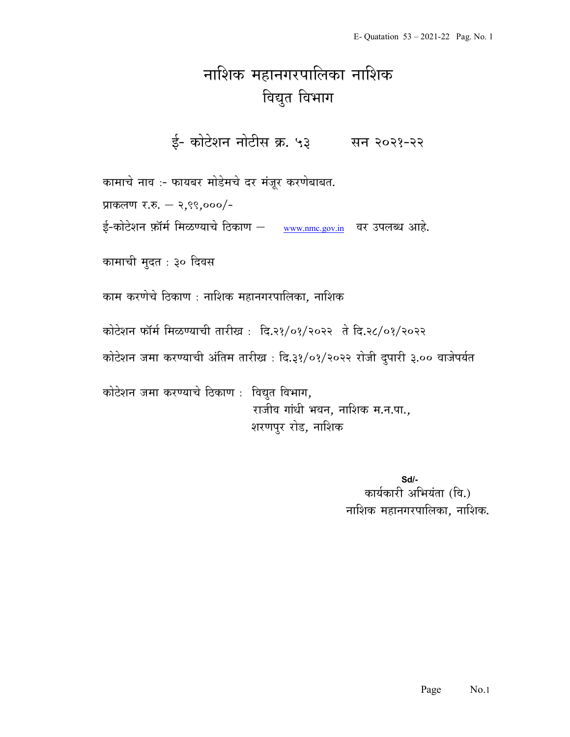## नाशिक महानगरपालिका नाशिक विद्युत विभाग

ई- कोटेशन नोटीस क्र. ५३ सन २०२१-२२

कामाचे नाव :- फायबर मोडेमचे दर मंजूर करणेबाबत.

प्राकलण र.रु. – २,९९,०००/-

ई-कोटेशन फ़ॉर्म मिळण्याचे ठिकाण – www.nmc.gov.in वर उपलब्ध आहे.

कामाची मुदत : ३० दिवस

काम करणेचे ठिकाण : नाशिक महानगरपालिका, नाशिक

कोटेशन फॉर्म मिळण्याची तारीख: दि.२१/०१/२०२२ ते दि.२८/०१/२०२२

कोटेशन जमा करण्याची अंतिम तारीख : दि.३१/०१/२०२२ रोजी दुपारी ३.०० वाजेपर्यत

कोटेशन जमा करण्याचे ठिकाण : विद्युत विभाग, राजीव गांधी भवन, नाशिक म.न.पा., शरणपुर रोड, नाशिक

> Sd/- कार्यकारी अभियंता (वि.) नाशिक महानगरपालिका, नाशिक.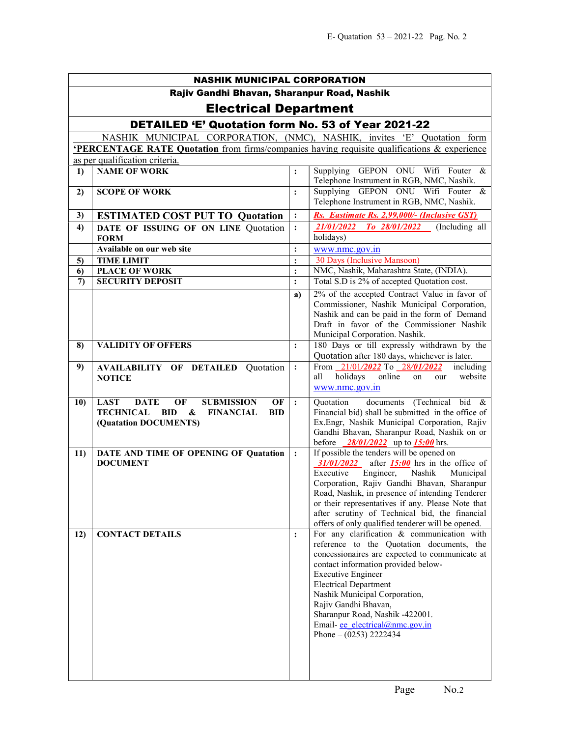| <b>NASHIK MUNICIPAL CORPORATION</b>                                     |                                                                                                                                                                     |                |                                                                                                                                                                                                                                                                                                                                                                                                             |  |  |  |
|-------------------------------------------------------------------------|---------------------------------------------------------------------------------------------------------------------------------------------------------------------|----------------|-------------------------------------------------------------------------------------------------------------------------------------------------------------------------------------------------------------------------------------------------------------------------------------------------------------------------------------------------------------------------------------------------------------|--|--|--|
| Rajiv Gandhi Bhavan, Sharanpur Road, Nashik                             |                                                                                                                                                                     |                |                                                                                                                                                                                                                                                                                                                                                                                                             |  |  |  |
| <b>Electrical Department</b>                                            |                                                                                                                                                                     |                |                                                                                                                                                                                                                                                                                                                                                                                                             |  |  |  |
| <b>DETAILED 'E' Quotation form No. 53 of Year 2021-22</b>               |                                                                                                                                                                     |                |                                                                                                                                                                                                                                                                                                                                                                                                             |  |  |  |
| NASHIK MUNICIPAL CORPORATION, (NMC), NASHIK, invites 'E' Quotation form |                                                                                                                                                                     |                |                                                                                                                                                                                                                                                                                                                                                                                                             |  |  |  |
|                                                                         | <b>PERCENTAGE RATE Quotation</b> from firms/companies having requisite qualifications & experience                                                                  |                |                                                                                                                                                                                                                                                                                                                                                                                                             |  |  |  |
|                                                                         | as per qualification criteria.                                                                                                                                      |                |                                                                                                                                                                                                                                                                                                                                                                                                             |  |  |  |
| 1)                                                                      | <b>NAME OF WORK</b>                                                                                                                                                 | $\ddot{\cdot}$ | Supplying GEPON ONU Wifi Fouter<br>&                                                                                                                                                                                                                                                                                                                                                                        |  |  |  |
|                                                                         |                                                                                                                                                                     |                | Telephone Instrument in RGB, NMC, Nashik.<br>Supplying GEPON ONU Wifi Fouter $\&$                                                                                                                                                                                                                                                                                                                           |  |  |  |
| 2)                                                                      | <b>SCOPE OF WORK</b>                                                                                                                                                | :              | Telephone Instrument in RGB, NMC, Nashik.                                                                                                                                                                                                                                                                                                                                                                   |  |  |  |
| 3)                                                                      | <b>ESTIMATED COST PUT TO Quotation</b>                                                                                                                              | $\ddot{\cdot}$ | Rs. Eastimate Rs. 2,99,000/- (Inclusive GST)                                                                                                                                                                                                                                                                                                                                                                |  |  |  |
| 4)                                                                      | DATE OF ISSUING OF ON LINE Quotation<br><b>FORM</b>                                                                                                                 | $\ddot{\cdot}$ | 21/01/2022 To 28/01/2022 (Including all<br>holidays)                                                                                                                                                                                                                                                                                                                                                        |  |  |  |
|                                                                         | Available on our web site                                                                                                                                           | $\ddot{\cdot}$ | www.nmc.gov.in                                                                                                                                                                                                                                                                                                                                                                                              |  |  |  |
| 5)                                                                      | <b>TIME LIMIT</b>                                                                                                                                                   | $\ddot{\cdot}$ | 30 Days (Inclusive Mansoon)                                                                                                                                                                                                                                                                                                                                                                                 |  |  |  |
| 6)                                                                      | <b>PLACE OF WORK</b>                                                                                                                                                | $\ddot{\cdot}$ | NMC, Nashik, Maharashtra State, (INDIA).<br>Total S.D is 2% of accepted Quotation cost.                                                                                                                                                                                                                                                                                                                     |  |  |  |
| $\mathcal{L}$                                                           | <b>SECURITY DEPOSIT</b>                                                                                                                                             | $\ddot{\cdot}$ |                                                                                                                                                                                                                                                                                                                                                                                                             |  |  |  |
|                                                                         |                                                                                                                                                                     | a)             | 2% of the accepted Contract Value in favor of<br>Commissioner, Nashik Municipal Corporation,<br>Nashik and can be paid in the form of Demand<br>Draft in favor of the Commissioner Nashik<br>Municipal Corporation. Nashik.                                                                                                                                                                                 |  |  |  |
| 8)                                                                      | <b>VALIDITY OF OFFERS</b>                                                                                                                                           | $\ddot{\cdot}$ | 180 Days or till expressly withdrawn by the<br>Quotation after 180 days, whichever is later.                                                                                                                                                                                                                                                                                                                |  |  |  |
| 9)                                                                      | <b>AVAILABILITY OF DETAILED Quotation</b><br><b>NOTICE</b>                                                                                                          | $\ddot{\cdot}$ | From 21/01/2022 To 28/01/2022<br>including<br>holidays<br>online<br>website<br>all<br>on<br>our<br>www.nmc.gov.in                                                                                                                                                                                                                                                                                           |  |  |  |
| 10)                                                                     | <b>LAST</b><br><b>SUBMISSION</b><br>OF<br><b>DATE</b><br>OF<br><b>TECHNICAL BID</b><br>$\boldsymbol{\&}$<br><b>FINANCIAL</b><br><b>BID</b><br>(Quatation DOCUMENTS) | $\cdot$        | documents (Technical bid &<br>Quotation<br>Financial bid) shall be submitted in the office of<br>Ex.Engr, Nashik Municipal Corporation, Rajiv<br>Gandhi Bhavan, Sharanpur Road, Nashik on or<br>before<br>$\frac{28}{01}{2022}$ up to $\frac{15:00}{2}$ hrs.                                                                                                                                                |  |  |  |
| 11)                                                                     | DATE AND TIME OF OPENING OF Quatation<br><b>DOCUMENT</b>                                                                                                            | $\ddot{\cdot}$ | If possible the tenders will be opened on<br>$31/01/2022$ after $15:00$ hrs in the office of<br>Executive<br>Engineer,<br>Nashik<br>Municipal<br>Corporation, Rajiv Gandhi Bhavan, Sharanpur<br>Road, Nashik, in presence of intending Tenderer<br>or their representatives if any. Please Note that<br>after scrutiny of Technical bid, the financial<br>offers of only qualified tenderer will be opened. |  |  |  |
| 12)                                                                     | <b>CONTACT DETAILS</b>                                                                                                                                              | $\ddot{\cdot}$ | For any clarification & communication with<br>reference to the Quotation documents, the<br>concessionaires are expected to communicate at<br>contact information provided below-<br><b>Executive Engineer</b><br><b>Electrical Department</b><br>Nashik Municipal Corporation,<br>Rajiv Gandhi Bhavan,<br>Sharanpur Road, Nashik -422001.<br>Email- ee electrical@nmc.gov.in<br>Phone $- (0253)$ 2222434    |  |  |  |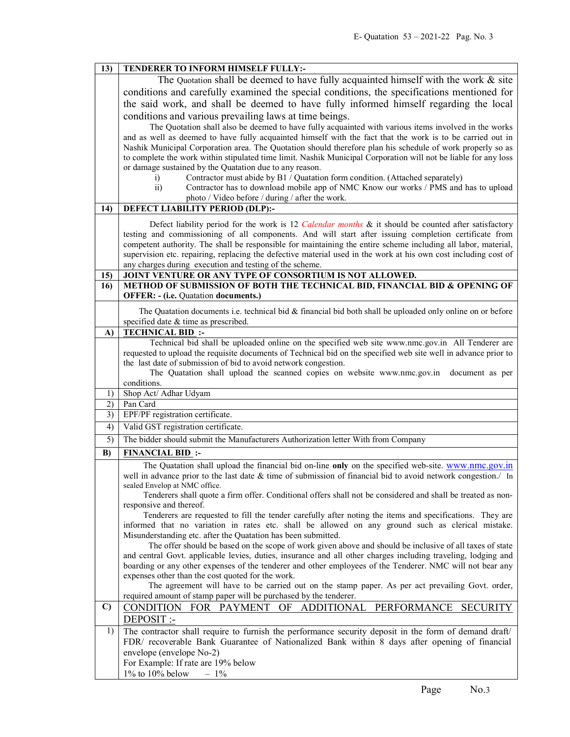| 13)          | TENDERER TO INFORM HIMSELF FULLY:-                                                                                                                        |  |  |  |  |  |
|--------------|-----------------------------------------------------------------------------------------------------------------------------------------------------------|--|--|--|--|--|
|              | The Quotation shall be deemed to have fully acquainted himself with the work & site                                                                       |  |  |  |  |  |
|              | conditions and carefully examined the special conditions, the specifications mentioned for                                                                |  |  |  |  |  |
|              |                                                                                                                                                           |  |  |  |  |  |
|              | the said work, and shall be deemed to have fully informed himself regarding the local                                                                     |  |  |  |  |  |
|              | conditions and various prevailing laws at time beings.                                                                                                    |  |  |  |  |  |
|              | The Quotation shall also be deemed to have fully acquainted with various items involved in the works                                                      |  |  |  |  |  |
|              | and as well as deemed to have fully acquainted himself with the fact that the work is to be carried out in                                                |  |  |  |  |  |
|              | Nashik Municipal Corporation area. The Quotation should therefore plan his schedule of work properly so as                                                |  |  |  |  |  |
|              | to complete the work within stipulated time limit. Nashik Municipal Corporation will not be liable for any loss                                           |  |  |  |  |  |
|              | or damage sustained by the Quatation due to any reason.                                                                                                   |  |  |  |  |  |
|              | Contractor must abide by B1 / Quatation form condition. (Attached separately)<br>$\mathbf{i}$                                                             |  |  |  |  |  |
|              | Contractor has to download mobile app of NMC Know our works / PMS and has to upload<br>$\overline{ii}$<br>photo / Video before / during / after the work. |  |  |  |  |  |
| 14)          | DEFECT LIABILITY PERIOD (DLP):-                                                                                                                           |  |  |  |  |  |
|              |                                                                                                                                                           |  |  |  |  |  |
|              | Defect liability period for the work is 12 Calendar months & it should be counted after satisfactory                                                      |  |  |  |  |  |
|              | testing and commissioning of all components. And will start after issuing completion certificate from                                                     |  |  |  |  |  |
|              | competent authority. The shall be responsible for maintaining the entire scheme including all labor, material,                                            |  |  |  |  |  |
|              | supervision etc. repairing, replacing the defective material used in the work at his own cost including cost of                                           |  |  |  |  |  |
|              | any charges during execution and testing of the scheme.                                                                                                   |  |  |  |  |  |
| 15)          | JOINT VENTURE OR ANY TYPE OF CONSORTIUM IS NOT ALLOWED.                                                                                                   |  |  |  |  |  |
| 16)          | METHOD OF SUBMISSION OF BOTH THE TECHNICAL BID, FINANCIAL BID & OPENING OF                                                                                |  |  |  |  |  |
|              | <b>OFFER: - (i.e. Quatation documents.)</b>                                                                                                               |  |  |  |  |  |
|              | The Quatation documents i.e. technical bid & financial bid both shall be uploaded only online on or before                                                |  |  |  |  |  |
|              | specified date & time as prescribed.                                                                                                                      |  |  |  |  |  |
| A)           | <b>TECHNICAL BID:</b>                                                                                                                                     |  |  |  |  |  |
|              | Technical bid shall be uploaded online on the specified web site www.nmc.gov.in All Tenderer are                                                          |  |  |  |  |  |
|              | requested to upload the requisite documents of Technical bid on the specified web site well in advance prior to                                           |  |  |  |  |  |
|              | the last date of submission of bid to avoid network congestion.                                                                                           |  |  |  |  |  |
|              | The Quatation shall upload the scanned copies on website www.nmc.gov.in<br>document as per                                                                |  |  |  |  |  |
|              | conditions.                                                                                                                                               |  |  |  |  |  |
| 1)           | Shop Act/ Adhar Udyam                                                                                                                                     |  |  |  |  |  |
|              |                                                                                                                                                           |  |  |  |  |  |
| 2)           | Pan Card                                                                                                                                                  |  |  |  |  |  |
| 3)           | EPF/PF registration certificate.                                                                                                                          |  |  |  |  |  |
| 4)           | Valid GST registration certificate.                                                                                                                       |  |  |  |  |  |
| 5)           | The bidder should submit the Manufacturers Authorization letter With from Company                                                                         |  |  |  |  |  |
| B)           | <b>FINANCIAL BID:</b>                                                                                                                                     |  |  |  |  |  |
|              | The Quatation shall upload the financial bid on-line only on the specified web-site. www.nmc.gov.in                                                       |  |  |  |  |  |
|              | well in advance prior to the last date & time of submission of financial bid to avoid network congestion./ In                                             |  |  |  |  |  |
|              | sealed Envelop at NMC office.                                                                                                                             |  |  |  |  |  |
|              | Tenderers shall quote a firm offer. Conditional offers shall not be considered and shall be treated as non-                                               |  |  |  |  |  |
|              | responsive and thereof.                                                                                                                                   |  |  |  |  |  |
|              | Tenderers are requested to fill the tender carefully after noting the items and specifications. They are                                                  |  |  |  |  |  |
|              | informed that no variation in rates etc. shall be allowed on any ground such as clerical mistake.                                                         |  |  |  |  |  |
|              | Misunderstanding etc. after the Quatation has been submitted.                                                                                             |  |  |  |  |  |
|              | The offer should be based on the scope of work given above and should be inclusive of all taxes of state                                                  |  |  |  |  |  |
|              | and central Govt. applicable levies, duties, insurance and all other charges including traveling, lodging and                                             |  |  |  |  |  |
|              | boarding or any other expenses of the tenderer and other employees of the Tenderer. NMC will not bear any                                                 |  |  |  |  |  |
|              | expenses other than the cost quoted for the work.<br>The agreement will have to be carried out on the stamp paper. As per act prevailing Govt. order,     |  |  |  |  |  |
|              | required amount of stamp paper will be purchased by the tenderer.                                                                                         |  |  |  |  |  |
| $\mathbf{C}$ |                                                                                                                                                           |  |  |  |  |  |
|              | CONDITION FOR PAYMENT OF ADDITIONAL<br>PERFORMANCE<br><b>SECURITY</b>                                                                                     |  |  |  |  |  |
|              | DEPOSIT :-                                                                                                                                                |  |  |  |  |  |
| 1)           | The contractor shall require to furnish the performance security deposit in the form of demand draft/                                                     |  |  |  |  |  |
|              | FDR/ recoverable Bank Guarantee of Nationalized Bank within 8 days after opening of financial                                                             |  |  |  |  |  |
|              | envelope (envelope No-2)<br>For Example: If rate are 19% below                                                                                            |  |  |  |  |  |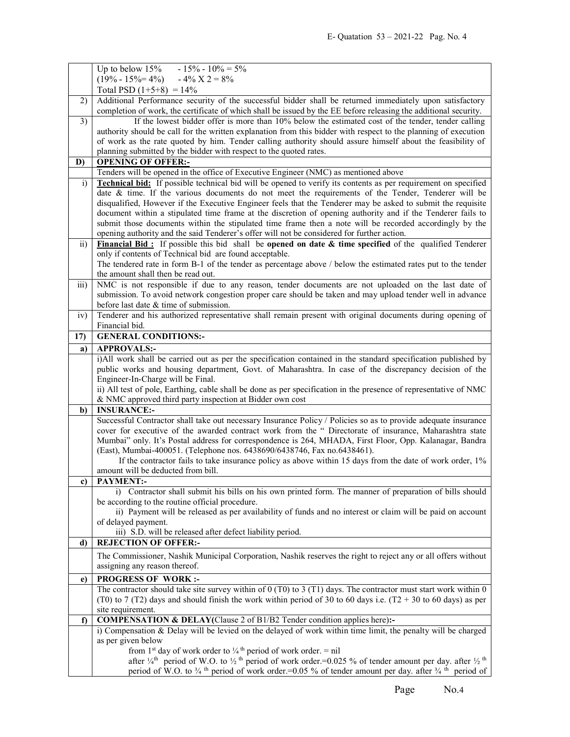|                 | Up to below 15% - 15% - $10\% = 5\%$                                                                                                                                                                                                                                                                                            |  |  |  |  |
|-----------------|---------------------------------------------------------------------------------------------------------------------------------------------------------------------------------------------------------------------------------------------------------------------------------------------------------------------------------|--|--|--|--|
|                 | $(19\% - 15\% = 4\%) - 4\% \times 2 = 8\%$                                                                                                                                                                                                                                                                                      |  |  |  |  |
|                 | Total PSD $(1+5+8) = 14\%$                                                                                                                                                                                                                                                                                                      |  |  |  |  |
| 2)              | Additional Performance security of the successful bidder shall be returned immediately upon satisfactory<br>completion of work, the certificate of which shall be issued by the EE before releasing the additional security.                                                                                                    |  |  |  |  |
| $\overline{3)}$ | If the lowest bidder offer is more than 10% below the estimated cost of the tender, tender calling                                                                                                                                                                                                                              |  |  |  |  |
|                 | authority should be call for the written explanation from this bidder with respect to the planning of execution                                                                                                                                                                                                                 |  |  |  |  |
|                 |                                                                                                                                                                                                                                                                                                                                 |  |  |  |  |
|                 | of work as the rate quoted by him. Tender calling authority should assure himself about the feasibility of<br>planning submitted by the bidder with respect to the quoted rates.                                                                                                                                                |  |  |  |  |
| D)              |                                                                                                                                                                                                                                                                                                                                 |  |  |  |  |
|                 | <b>OPENING OF OFFER:-</b><br>Tenders will be opened in the office of Executive Engineer (NMC) as mentioned above                                                                                                                                                                                                                |  |  |  |  |
| $\mathbf{i}$    | <b>Technical bid:</b> If possible technical bid will be opened to verify its contents as per requirement on specified                                                                                                                                                                                                           |  |  |  |  |
|                 | date & time. If the various documents do not meet the requirements of the Tender, Tenderer will be                                                                                                                                                                                                                              |  |  |  |  |
|                 | disqualified, However if the Executive Engineer feels that the Tenderer may be asked to submit the requisite                                                                                                                                                                                                                    |  |  |  |  |
|                 | document within a stipulated time frame at the discretion of opening authority and if the Tenderer fails to                                                                                                                                                                                                                     |  |  |  |  |
|                 | submit those documents within the stipulated time frame then a note will be recorded accordingly by the                                                                                                                                                                                                                         |  |  |  |  |
|                 | opening authority and the said Tenderer's offer will not be considered for further action.                                                                                                                                                                                                                                      |  |  |  |  |
| $\overline{ii}$ | Financial Bid: If possible this bid shall be opened on date $\&$ time specified of the qualified Tenderer                                                                                                                                                                                                                       |  |  |  |  |
|                 | only if contents of Technical bid are found acceptable.                                                                                                                                                                                                                                                                         |  |  |  |  |
|                 | The tendered rate in form B-1 of the tender as percentage above / below the estimated rates put to the tender                                                                                                                                                                                                                   |  |  |  |  |
|                 | the amount shall then be read out.                                                                                                                                                                                                                                                                                              |  |  |  |  |
| iii)            | NMC is not responsible if due to any reason, tender documents are not uploaded on the last date of                                                                                                                                                                                                                              |  |  |  |  |
|                 | submission. To avoid network congestion proper care should be taken and may upload tender well in advance                                                                                                                                                                                                                       |  |  |  |  |
|                 | before last date & time of submission.                                                                                                                                                                                                                                                                                          |  |  |  |  |
| iv)             | Tenderer and his authorized representative shall remain present with original documents during opening of                                                                                                                                                                                                                       |  |  |  |  |
|                 | Financial bid.                                                                                                                                                                                                                                                                                                                  |  |  |  |  |
| 17)             | <b>GENERAL CONDITIONS:-</b>                                                                                                                                                                                                                                                                                                     |  |  |  |  |
| a)              | <b>APPROVALS:-</b>                                                                                                                                                                                                                                                                                                              |  |  |  |  |
|                 | i)All work shall be carried out as per the specification contained in the standard specification published by                                                                                                                                                                                                                   |  |  |  |  |
|                 | public works and housing department, Govt. of Maharashtra. In case of the discrepancy decision of the                                                                                                                                                                                                                           |  |  |  |  |
|                 | Engineer-In-Charge will be Final.                                                                                                                                                                                                                                                                                               |  |  |  |  |
|                 | ii) All test of pole, Earthing, cable shall be done as per specification in the presence of representative of NMC                                                                                                                                                                                                               |  |  |  |  |
|                 | & NMC approved third party inspection at Bidder own cost                                                                                                                                                                                                                                                                        |  |  |  |  |
| b)              | <b>INSURANCE:-</b><br>Successful Contractor shall take out necessary Insurance Policy / Policies so as to provide adequate insurance                                                                                                                                                                                            |  |  |  |  |
|                 | cover for executive of the awarded contract work from the " Directorate of insurance, Maharashtra state                                                                                                                                                                                                                         |  |  |  |  |
|                 | Mumbai" only. It's Postal address for correspondence is 264, MHADA, First Floor, Opp. Kalanagar, Bandra                                                                                                                                                                                                                         |  |  |  |  |
|                 | (East), Mumbai-400051. (Telephone nos. 6438690/6438746, Fax no.6438461).                                                                                                                                                                                                                                                        |  |  |  |  |
|                 | If the contractor fails to take insurance policy as above within 15 days from the date of work order, 1%                                                                                                                                                                                                                        |  |  |  |  |
|                 | amount will be deducted from bill.                                                                                                                                                                                                                                                                                              |  |  |  |  |
| c)              | <b>PAYMENT:-</b>                                                                                                                                                                                                                                                                                                                |  |  |  |  |
|                 | i) Contractor shall submit his bills on his own printed form. The manner of preparation of bills should                                                                                                                                                                                                                         |  |  |  |  |
|                 | be according to the routine official procedure.                                                                                                                                                                                                                                                                                 |  |  |  |  |
|                 | ii) Payment will be released as per availability of funds and no interest or claim will be paid on account                                                                                                                                                                                                                      |  |  |  |  |
|                 |                                                                                                                                                                                                                                                                                                                                 |  |  |  |  |
|                 | of delayed payment.                                                                                                                                                                                                                                                                                                             |  |  |  |  |
|                 | iii) S.D. will be released after defect liability period.                                                                                                                                                                                                                                                                       |  |  |  |  |
| d)              | <b>REJECTION OF OFFER:-</b>                                                                                                                                                                                                                                                                                                     |  |  |  |  |
|                 | The Commissioner, Nashik Municipal Corporation, Nashik reserves the right to reject any or all offers without                                                                                                                                                                                                                   |  |  |  |  |
|                 | assigning any reason thereof.                                                                                                                                                                                                                                                                                                   |  |  |  |  |
| e)              | <b>PROGRESS OF WORK:-</b>                                                                                                                                                                                                                                                                                                       |  |  |  |  |
|                 | The contractor should take site survey within of $0$ (T0) to 3 (T1) days. The contractor must start work within 0                                                                                                                                                                                                               |  |  |  |  |
|                 | (T0) to 7 (T2) days and should finish the work within period of 30 to 60 days i.e. (T2 + 30 to 60 days) as per                                                                                                                                                                                                                  |  |  |  |  |
|                 | site requirement.                                                                                                                                                                                                                                                                                                               |  |  |  |  |
| f)              | <b>COMPENSATION &amp; DELAY</b> (Clause 2 of B1/B2 Tender condition applies here):-                                                                                                                                                                                                                                             |  |  |  |  |
|                 | i) Compensation $\&$ Delay will be levied on the delayed of work within time limit, the penalty will be charged                                                                                                                                                                                                                 |  |  |  |  |
|                 | as per given below                                                                                                                                                                                                                                                                                                              |  |  |  |  |
|                 | from 1 <sup>st</sup> day of work order to $\frac{1}{4}$ <sup>th</sup> period of work order. = nil                                                                                                                                                                                                                               |  |  |  |  |
|                 | after $\frac{1}{4}$ <sup>th</sup> period of W.O. to $\frac{1}{2}$ <sup>th</sup> period of work order. = 0.025 % of tender amount per day. after $\frac{1}{2}$ <sup>th</sup><br>period of W.O. to $\frac{3}{4}$ <sup>th</sup> period of work order.=0.05 % of tender amount per day. after $\frac{3}{4}$ <sup>th</sup> period of |  |  |  |  |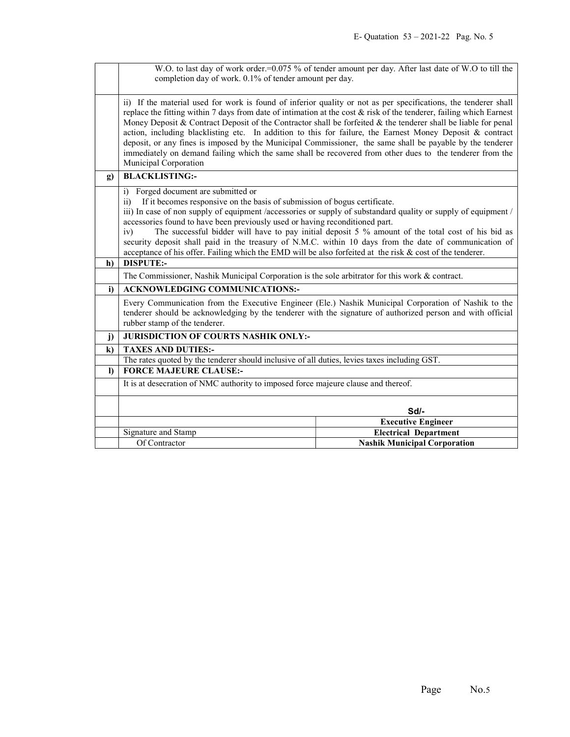|          | W.O. to last day of work order.=0.075 % of tender amount per day. After last date of W.O to till the<br>completion day of work. 0.1% of tender amount per day.                                                                                                                                                                                                                                                                                                                                                                                                                                                                                                                                                          |                                     |  |  |
|----------|-------------------------------------------------------------------------------------------------------------------------------------------------------------------------------------------------------------------------------------------------------------------------------------------------------------------------------------------------------------------------------------------------------------------------------------------------------------------------------------------------------------------------------------------------------------------------------------------------------------------------------------------------------------------------------------------------------------------------|-------------------------------------|--|--|
|          |                                                                                                                                                                                                                                                                                                                                                                                                                                                                                                                                                                                                                                                                                                                         |                                     |  |  |
|          | ii) If the material used for work is found of inferior quality or not as per specifications, the tenderer shall<br>replace the fitting within 7 days from date of intimation at the cost & risk of the tenderer, failing which Earnest<br>Money Deposit & Contract Deposit of the Contractor shall be forfeited & the tenderer shall be liable for penal<br>action, including blacklisting etc. In addition to this for failure, the Earnest Money Deposit & contract<br>deposit, or any fines is imposed by the Municipal Commissioner, the same shall be payable by the tenderer<br>immediately on demand failing which the same shall be recovered from other dues to the tenderer from the<br>Municipal Corporation |                                     |  |  |
| g)       | <b>BLACKLISTING:-</b>                                                                                                                                                                                                                                                                                                                                                                                                                                                                                                                                                                                                                                                                                                   |                                     |  |  |
|          | i) Forged document are submitted or<br>If it becomes responsive on the basis of submission of bogus certificate.<br>$\overline{11}$<br>iii) In case of non supply of equipment /accessories or supply of substandard quality or supply of equipment /<br>accessories found to have been previously used or having reconditioned part.<br>The successful bidder will have to pay initial deposit 5 % amount of the total cost of his bid as<br>iv)<br>security deposit shall paid in the treasury of N.M.C. within 10 days from the date of communication of<br>acceptance of his offer. Failing which the EMD will be also forfeited at the risk & cost of the tenderer.                                                |                                     |  |  |
| h)       | <b>DISPUTE:-</b>                                                                                                                                                                                                                                                                                                                                                                                                                                                                                                                                                                                                                                                                                                        |                                     |  |  |
|          | The Commissioner, Nashik Municipal Corporation is the sole arbitrator for this work & contract.                                                                                                                                                                                                                                                                                                                                                                                                                                                                                                                                                                                                                         |                                     |  |  |
| i)       | <b>ACKNOWLEDGING COMMUNICATIONS:-</b>                                                                                                                                                                                                                                                                                                                                                                                                                                                                                                                                                                                                                                                                                   |                                     |  |  |
|          | Every Communication from the Executive Engineer (Ele.) Nashik Municipal Corporation of Nashik to the<br>tenderer should be acknowledging by the tenderer with the signature of authorized person and with official<br>rubber stamp of the tenderer.                                                                                                                                                                                                                                                                                                                                                                                                                                                                     |                                     |  |  |
| j)       | JURISDICTION OF COURTS NASHIK ONLY:-                                                                                                                                                                                                                                                                                                                                                                                                                                                                                                                                                                                                                                                                                    |                                     |  |  |
| $\bf k$  | <b>TAXES AND DUTIES:-</b>                                                                                                                                                                                                                                                                                                                                                                                                                                                                                                                                                                                                                                                                                               |                                     |  |  |
|          | The rates quoted by the tenderer should inclusive of all duties, levies taxes including GST.                                                                                                                                                                                                                                                                                                                                                                                                                                                                                                                                                                                                                            |                                     |  |  |
| $\bf{D}$ | <b>FORCE MAJEURE CLAUSE:-</b>                                                                                                                                                                                                                                                                                                                                                                                                                                                                                                                                                                                                                                                                                           |                                     |  |  |
|          | It is at desecration of NMC authority to imposed force majeure clause and thereof.                                                                                                                                                                                                                                                                                                                                                                                                                                                                                                                                                                                                                                      |                                     |  |  |
|          | Sd/-                                                                                                                                                                                                                                                                                                                                                                                                                                                                                                                                                                                                                                                                                                                    |                                     |  |  |
|          |                                                                                                                                                                                                                                                                                                                                                                                                                                                                                                                                                                                                                                                                                                                         | <b>Executive Engineer</b>           |  |  |
|          | Signature and Stamp<br><b>Electrical Department</b>                                                                                                                                                                                                                                                                                                                                                                                                                                                                                                                                                                                                                                                                     |                                     |  |  |
|          | Of Contractor                                                                                                                                                                                                                                                                                                                                                                                                                                                                                                                                                                                                                                                                                                           | <b>Nashik Municipal Corporation</b> |  |  |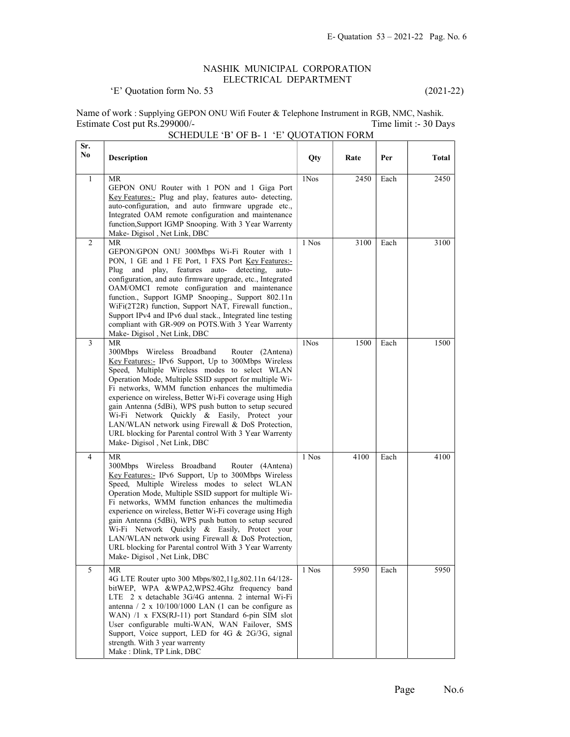## NASHIK MUNICIPAL CORPORATION ELECTRICAL DEPARTMENT

## 'E' Quotation form No. 53 (2021-22)

Name of work : Supplying GEPON ONU Wifi Fouter & Telephone Instrument in RGB, NMC, Nashik. Estimate Cost put Rs.299000/- Time limit :- 30 Days SCHEDULE 'B' OF B- 1 'E' QUOTATION FORM

| Sr.<br>No | <b>Description</b>                                                                                                                                                                                                                                                                                                                                                                                                                                                                                                                                                                             | Qty   | Rate | Per  | Total |
|-----------|------------------------------------------------------------------------------------------------------------------------------------------------------------------------------------------------------------------------------------------------------------------------------------------------------------------------------------------------------------------------------------------------------------------------------------------------------------------------------------------------------------------------------------------------------------------------------------------------|-------|------|------|-------|
| 1         | MR<br>GEPON ONU Router with 1 PON and 1 Giga Port<br>Key Features:- Plug and play, features auto- detecting,<br>auto-configuration, and auto firmware upgrade etc.,<br>Integrated OAM remote configuration and maintenance<br>function, Support IGMP Snooping. With 3 Year Warrenty<br>Make-Digisol, Net Link, DBC                                                                                                                                                                                                                                                                             | 1Nos  | 2450 | Each | 2450  |
| 2         | MR<br>GEPON/GPON ONU 300Mbps Wi-Fi Router with 1<br>PON, 1 GE and 1 FE Port, 1 FXS Port Key Features:-<br>Plug and play, features auto- detecting,<br>auto-<br>configuration, and auto firmware upgrade, etc., Integrated<br>OAM/OMCI remote configuration and maintenance<br>function., Support IGMP Snooping., Support 802.11n<br>WiFi(2T2R) function, Support NAT, Firewall function.,<br>Support IPv4 and IPv6 dual stack., Integrated line testing<br>compliant with GR-909 on POTS. With 3 Year Warrenty<br>Make-Digisol, Net Link, DBC                                                  | 1 Nos | 3100 | Each | 3100  |
| 3         | MR<br>300Mbps Wireless Broadband<br>Router (2Antena)<br>Key Features:- IPv6 Support, Up to 300Mbps Wireless<br>Speed, Multiple Wireless modes to select WLAN<br>Operation Mode, Multiple SSID support for multiple Wi-<br>Fi networks, WMM function enhances the multimedia<br>experience on wireless, Better Wi-Fi coverage using High<br>gain Antenna (5dBi), WPS push button to setup secured<br>Wi-Fi Network Quickly & Easily, Protect your<br>LAN/WLAN network using Firewall & DoS Protection,<br>URL blocking for Parental control With 3 Year Warrenty<br>Make-Digisol, Net Link, DBC | 1Nos  | 1500 | Each | 1500  |
| 4         | MR<br>300Mbps Wireless Broadband<br>Router (4Antena)<br>Key Features:- IPv6 Support, Up to 300Mbps Wireless<br>Speed, Multiple Wireless modes to select WLAN<br>Operation Mode, Multiple SSID support for multiple Wi-<br>Fi networks, WMM function enhances the multimedia<br>experience on wireless, Better Wi-Fi coverage using High<br>gain Antenna (5dBi), WPS push button to setup secured<br>Wi-Fi Network Quickly & Easily, Protect your<br>LAN/WLAN network using Firewall & DoS Protection,<br>URL blocking for Parental control With 3 Year Warrenty<br>Make-Digisol, Net Link, DBC | 1 Nos | 4100 | Each | 4100  |
| 5         | MR<br>4G LTE Router upto 300 Mbps/802,11g,802.11n 64/128-<br>bitWEP, WPA &WPA2,WPS2.4Ghz frequency band<br>LTE 2 x detachable 3G/4G antenna. 2 internal Wi-Fi<br>antenna / 2 x $10/100/1000$ LAN (1 can be configure as<br>WAN) /1 x FXS(RJ-11) port Standard 6-pin SIM slot<br>User configurable multi-WAN, WAN Failover, SMS<br>Support, Voice support, LED for 4G & 2G/3G, signal<br>strength. With 3 year warrenty<br>Make: Dlink, TP Link, DBC                                                                                                                                            | 1 Nos | 5950 | Each | 5950  |